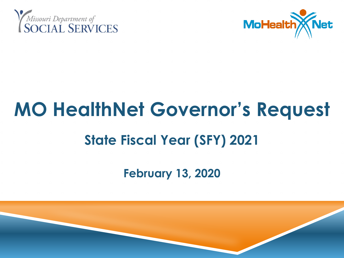



# **MO HealthNet Governor's Request State Fiscal Year (SFY) 2021 February 13, 2020**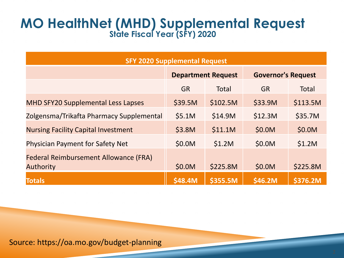# **MO HealthNet (MHD) Supplemental Request State Fiscal Year (SFY) 2020**

| <b>SFY 2020 Supplemental Request</b>                             |                           |          |                           |          |
|------------------------------------------------------------------|---------------------------|----------|---------------------------|----------|
|                                                                  | <b>Department Request</b> |          | <b>Governor's Request</b> |          |
|                                                                  | <b>GR</b>                 | Total    | <b>GR</b>                 | Total    |
| <b>MHD SFY20 Supplemental Less Lapses</b>                        | \$39.5M                   | \$102.5M | \$33.9M                   | \$113.5M |
| Zolgensma/Trikafta Pharmacy Supplemental                         | \$5.1M                    | \$14.9M  | \$12.3M                   | \$35.7M  |
| <b>Nursing Facility Capital Investment</b>                       | \$3.8M                    | \$11.1M  | \$0.0M                    | \$0.0M   |
| <b>Physician Payment for Safety Net</b>                          | \$0.0M                    | \$1.2M   | \$0.0M                    | \$1.2M   |
| <b>Federal Reimbursement Allowance (FRA)</b><br><b>Authority</b> | \$0.0M                    | \$225.8M | \$0.0M                    | \$225.8M |
| <b>Totals</b>                                                    | \$48.4M                   | \$355.5M | \$46.2M                   | \$376.2M |
|                                                                  |                           |          |                           |          |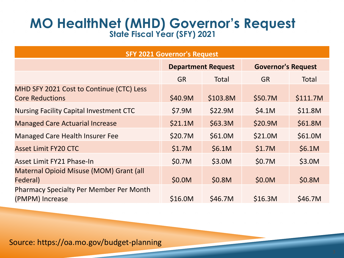## **MO HealthNet (MHD) Governor's Request State Fiscal Year (SFY) 2021**

| <b>SFY 2021 Governor's Request</b>                                 |                           |          |                           |          |
|--------------------------------------------------------------------|---------------------------|----------|---------------------------|----------|
|                                                                    | <b>Department Request</b> |          | <b>Governor's Request</b> |          |
|                                                                    | <b>GR</b>                 | Total    | <b>GR</b>                 | Total    |
| MHD SFY 2021 Cost to Continue (CTC) Less<br><b>Core Reductions</b> | \$40.9M                   | \$103.8M | \$50.7M                   | \$111.7M |
| <b>Nursing Facility Capital Investment CTC</b>                     | \$7.9M                    | \$22.9M  | \$4.1M                    | \$11.8M  |
| <b>Managed Care Actuarial Increase</b>                             | \$21.1M                   | \$63.3M  | \$20.9M                   | \$61.8M  |
| <b>Managed Care Health Insurer Fee</b>                             | \$20.7M                   | \$61.0M  | \$21.0M                   | \$61.0M  |
| <b>Asset Limit FY20 CTC</b>                                        | \$1.7M                    | \$6.1M   | \$1.7M                    | \$6.1M   |
| Asset Limit FY21 Phase-In                                          | \$0.7M                    | \$3.0M   | \$0.7M                    | \$3.0M   |
| Maternal Opioid Misuse (MOM) Grant (all<br>Federal)                | \$0.0M                    | \$0.8M   | \$0.0M                    | \$0.8M   |
| <b>Pharmacy Specialty Per Member Per Month</b><br>(PMPM) Increase  | \$16.0M                   | \$46.7M  | \$16.3M                   | \$46.7M  |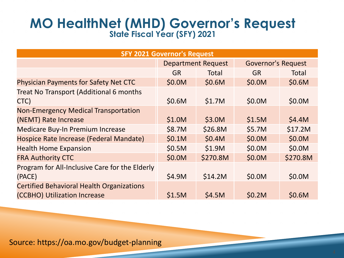# **MO HealthNet (MHD) Governor's Request State Fiscal Year (SFY) 2021**

| <b>SFY 2021 Governor's Request</b>                                               |                           |          |                           |          |
|----------------------------------------------------------------------------------|---------------------------|----------|---------------------------|----------|
|                                                                                  | <b>Department Request</b> |          | <b>Governor's Request</b> |          |
|                                                                                  | <b>GR</b>                 | Total    | <b>GR</b>                 | Total    |
| <b>Physician Payments for Safety Net CTC</b>                                     | \$0.0M                    | \$0.6M   | \$0.0M                    | \$0.6M   |
| Treat No Transport (Additional 6 months<br>CTC)                                  | \$0.6M                    | \$1.7M   | \$0.0M                    | \$0.0M   |
| <b>Non-Emergency Medical Transportation</b><br>(NEMT) Rate Increase              | \$1.0M                    | \$3.0M   | \$1.5M                    | \$4.4M   |
| Medicare Buy-In Premium Increase                                                 | \$8.7M                    | \$26.8M  | \$5.7M                    | \$17.2M  |
| Hospice Rate Increase (Federal Mandate)                                          | \$0.1M                    | \$0.4M   | \$0.0M                    | \$0.0M   |
| <b>Health Home Expansion</b>                                                     | \$0.5M                    | \$1.9M   | \$0.0M                    | \$0.0M   |
| <b>FRA Authority CTC</b>                                                         | \$0.0M                    | \$270.8M | \$0.0M                    | \$270.8M |
| Program for All-Inclusive Care for the Elderly<br>(PACE)                         | \$4.9M                    | \$14.2M  | \$0.0M                    | \$0.0M   |
| <b>Certified Behavioral Health Organizations</b><br>(CCBHO) Utilization Increase | \$1.5M                    | \$4.5M   | \$0.2M                    | \$0.6M   |